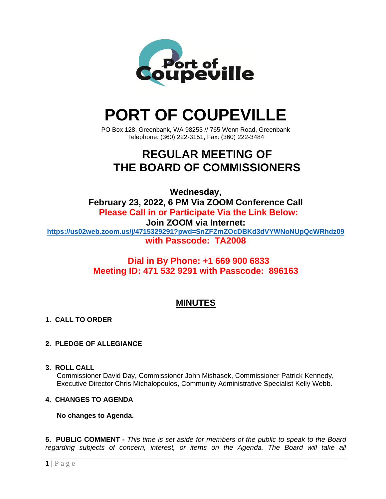

# **PORT OF COUPEVILLE**

PO Box 128, Greenbank, WA 98253 // 765 Wonn Road, Greenbank Telephone: (360) 222-3151, Fax: (360) 222-3484

## **REGULAR MEETING OF THE BOARD OF COMMISSIONERS**

**Wednesday, February 23, 2022, 6 PM Via ZOOM Conference Call Please Call in or Participate Via the Link Below: Join ZOOM via Internet: <https://us02web.zoom.us/j/4715329291?pwd=SnZFZmZOcDBKd3dVYWNoNUpQcWRhdz09> with Passcode: TA2008**

> **Dial in By Phone: +1 669 900 6833 Meeting ID: 471 532 9291 with Passcode: 896163**

### **MINUTES**

#### **1. CALL TO ORDER**

#### **2. PLEDGE OF ALLEGIANCE**

**3. ROLL CALL**

Commissioner David Day, Commissioner John Mishasek, Commissioner Patrick Kennedy, Executive Director Chris Michalopoulos, Community Administrative Specialist Kelly Webb.

#### **4. CHANGES TO AGENDA**

#### **No changes to Agenda.**

**5. PUBLIC COMMENT -** *This time is set aside for members of the public to speak to the Board regarding subjects of concern, interest, or items on the Agenda. The Board will take all*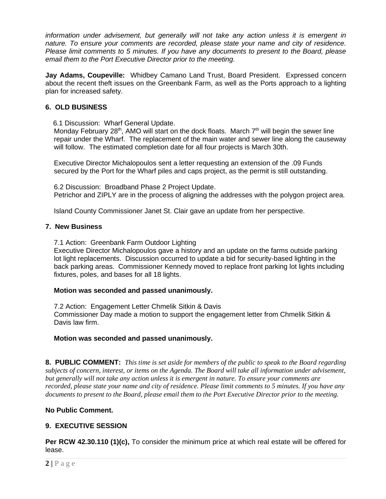*information under advisement, but generally will not take any action unless it is emergent in nature. To ensure your comments are recorded, please state your name and city of residence. Please limit comments to 5 minutes. If you have any documents to present to the Board, please email them to the Port Executive Director prior to the meeting.*

**Jay Adams, Coupeville:** Whidbey Camano Land Trust, Board President. Expressed concern about the recent theft issues on the Greenbank Farm, as well as the Ports approach to a lighting plan for increased safety.

#### **6. OLD BUSINESS**

6.1 Discussion: Wharf General Update.

Monday February 28<sup>th</sup>, AMO will start on the dock floats. March  $7<sup>th</sup>$  will begin the sewer line repair under the Wharf. The replacement of the main water and sewer line along the causeway will follow. The estimated completion date for all four projects is March 30th.

Executive Director Michalopoulos sent a letter requesting an extension of the .09 Funds secured by the Port for the Wharf piles and caps project, as the permit is still outstanding.

6.2 Discussion: Broadband Phase 2 Project Update. Petrichor and ZIPLY are in the process of aligning the addresses with the polygon project area.

Island County Commissioner Janet St. Clair gave an update from her perspective.

#### **7. New Business**

7.1 Action: Greenbank Farm Outdoor Lighting

Executive Director Michalopoulos gave a history and an update on the farms outside parking lot light replacements. Discussion occurred to update a bid for security-based lighting in the back parking areas. Commissioner Kennedy moved to replace front parking lot lights including fixtures, poles, and bases for all 18 lights.

#### **Motion was seconded and passed unanimously.**

7.2 Action: Engagement Letter Chmelik Sitkin & Davis Commissioner Day made a motion to support the engagement letter from Chmelik Sitkin & Davis law firm.

#### **Motion was seconded and passed unanimously.**

**8. PUBLIC COMMENT:** *This time is set aside for members of the public to speak to the Board regarding subjects of concern, interest, or items on the Agenda. The Board will take all information under advisement, but generally will not take any action unless it is emergent in nature. To ensure your comments are recorded, please state your name and city of residence. Please limit comments to 5 minutes. If you have any documents to present to the Board, please email them to the Port Executive Director prior to the meeting.*

#### **No Public Comment.**

#### **9. EXECUTIVE SESSION**

**Per RCW 42.30.110 (1)(c),** To consider the minimum price at which real estate will be offered for lease.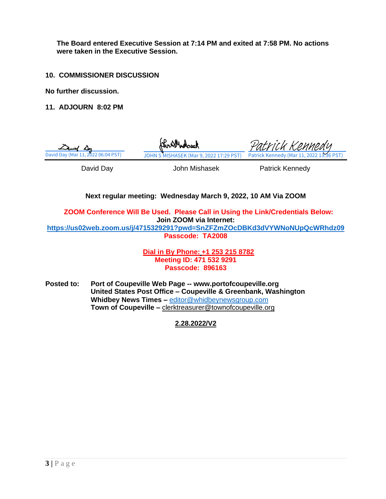**The Board entered Executive Session at 7:14 PM and exited at 7:58 PM. No actions were taken in the Executive Session.**

**10. COMMISSIONER DISCUSSION**

**No further discussion.**

**11. ADJOURN 8:02 PM**



**Next regular meeting: Wednesday March 9, 2022, 10 AM Via ZOOM** 

**ZOOM Conference Will Be Used. Please Call in Using the Link/Credentials Below: Join ZOOM via Internet: <https://us02web.zoom.us/j/4715329291?pwd=SnZFZmZOcDBKd3dVYWNoNUpQcWRhdz09>**

**Passcode: TA2008**

**Dial in By Phone: +1 253 215 8782 Meeting ID: 471 532 9291 Passcode: 896163**

**Posted to: Port of Coupeville Web Page -- www.portofcoupeville.org United States Post Office – Coupeville & Greenbank, Washington Whidbey News Times –** [editor@whidbeynewsgroup.com](mailto:editor@whidbeynewsgroup.com) **Town of Coupeville –** [clerktreasurer@townofcoupeville.org](mailto:clerktreasurer@townofcoupeville.org)

**2.28.2022/V2**